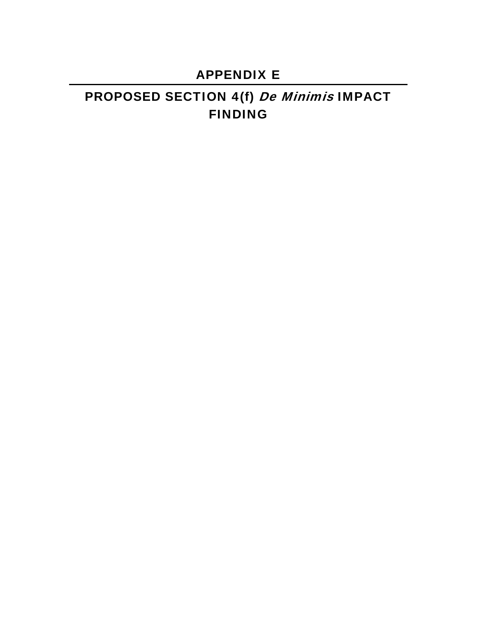# APPENDIX E

# PROPOSED SECTION 4(f) De Minimis IMPACT FINDING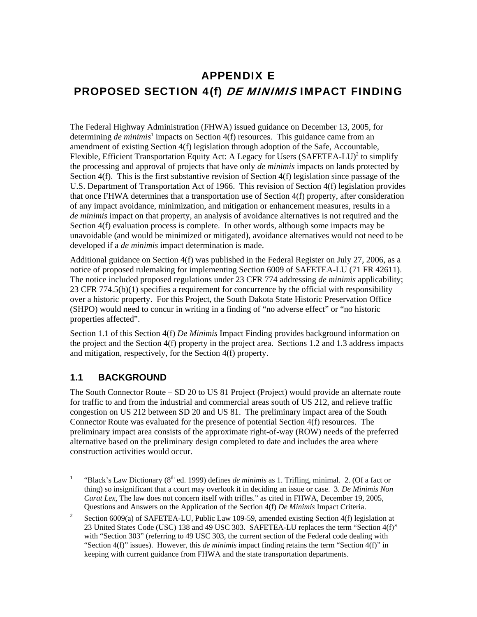## APPENDIX E PROPOSED SECTION 4(f) DE MINIMIS IMPACT FINDING

The Federal Highway Administration (FHWA) issued guidance on December 13, 2005, for determining *de minimis*<sup>1</sup> impacts on Section 4(f) resources. This guidance came from an amendment of existing Section 4(f) legislation through adoption of the Safe, Accountable, Flexible, Efficient Transportation Equity Act: A Legacy for Users  $(Sע $FETEA-LU)^2$  to simplify$ the processing and approval of projects that have only *de minimis* impacts on lands protected by Section 4(f). This is the first substantive revision of Section 4(f) legislation since passage of the U.S. Department of Transportation Act of 1966. This revision of Section 4(f) legislation provides that once FHWA determines that a transportation use of Section 4(f) property, after consideration of any impact avoidance, minimization, and mitigation or enhancement measures, results in a *de minimis* impact on that property, an analysis of avoidance alternatives is not required and the Section 4(f) evaluation process is complete. In other words, although some impacts may be unavoidable (and would be minimized or mitigated), avoidance alternatives would not need to be developed if a *de minimis* impact determination is made.

Additional guidance on Section 4(f) was published in the Federal Register on July 27, 2006, as a notice of proposed rulemaking for implementing Section 6009 of SAFETEA-LU (71 FR 42611). The notice included proposed regulations under 23 CFR 774 addressing *de minimis* applicability; 23 CFR 774.5(b)(1) specifies a requirement for concurrence by the official with responsibility over a historic property. For this Project, the South Dakota State Historic Preservation Office (SHPO) would need to concur in writing in a finding of "no adverse effect" or "no historic properties affected".

Section 1.1 of this Section 4(f) *De Minimis* Impact Finding provides background information on the project and the Section 4(f) property in the project area. Sections 1.2 and 1.3 address impacts and mitigation, respectively, for the Section 4(f) property.

### **1.1 BACKGROUND**

l

The South Connector Route – SD 20 to US 81 Project (Project) would provide an alternate route for traffic to and from the industrial and commercial areas south of US 212, and relieve traffic congestion on US 212 between SD 20 and US 81. The preliminary impact area of the South Connector Route was evaluated for the presence of potential Section 4(f) resources. The preliminary impact area consists of the approximate right-of-way (ROW) needs of the preferred alternative based on the preliminary design completed to date and includes the area where construction activities would occur.

<sup>1</sup> "Black's Law Dictionary (8<sup>th</sup> ed. 1999) defines *de minimis* as 1. Trifling, minimal. 2. (Of a fact or thing) so insignificant that a court may overlook it in deciding an issue or case. 3. *De Minimis Non Curat Lex*, The law does not concern itself with trifles." as cited in FHWA, December 19, 2005, Questions and Answers on the Application of the Section 4(f) *De Minimis* Impact Criteria.

<sup>2</sup> Section 6009(a) of SAFETEA-LU, Public Law 109-59, amended existing Section 4(f) legislation at 23 United States Code (USC) 138 and 49 USC 303. SAFETEA-LU replaces the term "Section 4(f)" with "Section 303" (referring to 49 USC 303, the current section of the Federal code dealing with "Section 4(f)" issues). However, this *de minimis* impact finding retains the term "Section 4(f)" in keeping with current guidance from FHWA and the state transportation departments.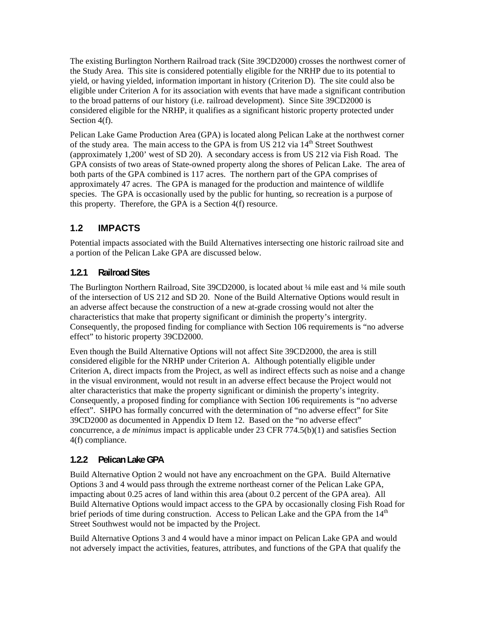The existing Burlington Northern Railroad track (Site 39CD2000) crosses the northwest corner of the Study Area. This site is considered potentially eligible for the NRHP due to its potential to yield, or having yielded, information important in history (Criterion D). The site could also be eligible under Criterion A for its association with events that have made a significant contribution to the broad patterns of our history (i.e. railroad development). Since Site 39CD2000 is considered eligible for the NRHP, it qualifies as a significant historic property protected under Section 4(f).

Pelican Lake Game Production Area (GPA) is located along Pelican Lake at the northwest corner of the study area. The main access to the GPA is from US 212 via 14<sup>th</sup> Street Southwest (approximately 1,200' west of SD 20). A secondary access is from US 212 via Fish Road. The GPA consists of two areas of State-owned property along the shores of Pelican Lake. The area of both parts of the GPA combined is 117 acres. The northern part of the GPA comprises of approximately 47 acres. The GPA is managed for the production and maintence of wildlife species. The GPA is occasionally used by the public for hunting, so recreation is a purpose of this property. Therefore, the GPA is a Section 4(f) resource.

## **1.2 IMPACTS**

Potential impacts associated with the Build Alternatives intersecting one historic railroad site and a portion of the Pelican Lake GPA are discussed below.

#### **1.2.1 Railroad Sites**

The Burlington Northern Railroad, Site 39CD2000, is located about ¼ mile east and ¼ mile south of the intersection of US 212 and SD 20. None of the Build Alternative Options would result in an adverse affect because the construction of a new at-grade crossing would not alter the characteristics that make that property significant or diminish the property's intergrity. Consequently, the proposed finding for compliance with Section 106 requirements is "no adverse effect" to historic property 39CD2000.

Even though the Build Alternative Options will not affect Site 39CD2000, the area is still considered eligible for the NRHP under Criterion A. Although potentially eligible under Criterion A, direct impacts from the Project, as well as indirect effects such as noise and a change in the visual environment, would not result in an adverse effect because the Project would not alter characteristics that make the property significant or diminish the property's integrity. Consequently, a proposed finding for compliance with Section 106 requirements is "no adverse effect". SHPO has formally concurred with the determination of "no adverse effect" for Site 39CD2000 as documented in Appendix D Item 12. Based on the "no adverse effect" concurrence, a *de minimus* impact is applicable under 23 CFR 774.5(b)(1) and satisfies Section 4(f) compliance.

#### **1.2.2 Pelican Lake GPA**

Build Alternative Option 2 would not have any encroachment on the GPA. Build Alternative Options 3 and 4 would pass through the extreme northeast corner of the Pelican Lake GPA, impacting about 0.25 acres of land within this area (about 0.2 percent of the GPA area). All Build Alternative Options would impact access to the GPA by occasionally closing Fish Road for brief periods of time during construction. Access to Pelican Lake and the GPA from the  $14<sup>th</sup>$ Street Southwest would not be impacted by the Project.

Build Alternative Options 3 and 4 would have a minor impact on Pelican Lake GPA and would not adversely impact the activities, features, attributes, and functions of the GPA that qualify the